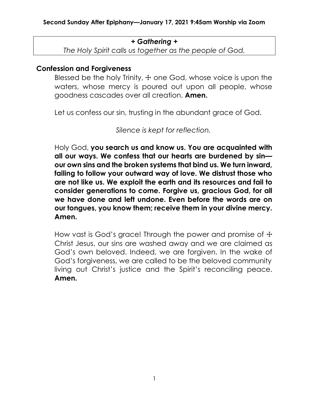### + Gathering +

The Holy Spirit calls us together as the people of God.

## Confession and Forgiveness

Blessed be the holy Trinity,  $\pm$  one God, whose voice is upon the waters, whose mercy is poured out upon all people, whose goodness cascades over all creation. Amen.

Let us confess our sin, trusting in the abundant grace of God.

Silence is kept for reflection.

Holy God, you search us and know us. You are acquainted with all our ways. We confess that our hearts are burdened by sin our own sins and the broken systems that bind us. We turn inward, failing to follow your outward way of love. We distrust those who are not like us. We exploit the earth and its resources and fail to consider generations to come. Forgive us, gracious God, for all we have done and left undone. Even before the words are on our tongues, you know them; receive them in your divine mercy. Amen.

How vast is God's grace! Through the power and promise of  $\pm$ Christ Jesus, our sins are washed away and we are claimed as God's own beloved. Indeed, we are forgiven. In the wake of God's forgiveness, we are called to be the beloved community living out Christ's justice and the Spirit's reconciling peace. Amen.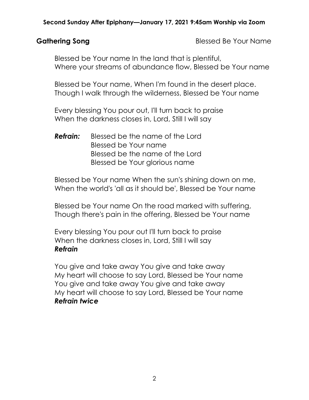Gathering Song **Blessed Be Your Name** 

Blessed be Your name In the land that is plentiful, Where your streams of abundance flow, Blessed be Your name

Blessed be Your name, When I'm found in the desert place. Though I walk through the wilderness, Blessed be Your name

Every blessing You pour out, I'll turn back to praise When the darkness closes in, Lord, Still I will say

**Refrain:** Blessed be the name of the Lord Blessed be Your name Blessed be the name of the Lord Blessed be Your glorious name

Blessed be Your name When the sun's shining down on me, When the world's 'all as it should be', Blessed be Your name

Blessed be Your name On the road marked with suffering, Though there's pain in the offering, Blessed be Your name

Every blessing You pour out I'll turn back to praise When the darkness closes in, Lord, Still I will say Refrain

You give and take away You give and take away My heart will choose to say Lord, Blessed be Your name You give and take away You give and take away My heart will choose to say Lord, Blessed be Your name Refrain twice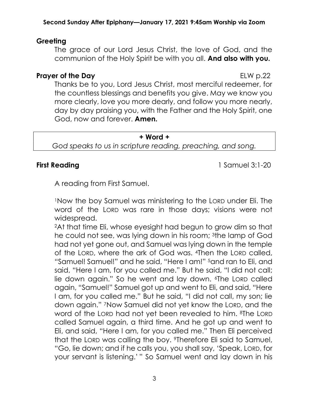# Greeting

The grace of our Lord Jesus Christ, the love of God, and the communion of the Holy Spirit be with you all. And also with you.

## **Prayer of the Day** ELW p.22

Thanks be to you, Lord Jesus Christ, most merciful redeemer, for the countless blessings and benefits you give. May we know you more clearly, love you more dearly, and follow you more nearly, day by day praising you, with the Father and the Holy Spirit, one God, now and forever. **Amen.** 

#### + Word +

God speaks to us in scripture reading, preaching, and song.

First Reading **1 Samuel 3:1-20** 

A reading from First Samuel.

<sup>1</sup>Now the boy Samuel was ministering to the LORD under Eli. The word of the LORD was rare in those days; visions were not widespread.

<sup>2</sup>At that time Eli, whose eyesight had begun to grow dim so that he could not see, was lying down in his room; 3the lamp of God had not yet gone out, and Samuel was lying down in the temple of the LORD, where the ark of God was. 4Then the LORD called, "Samuel! Samuel!" and he said, "Here I am!" 5and ran to Eli, and said, "Here I am, for you called me." But he said, "I did not call; lie down again." So he went and lay down. 6The LORD called again, "Samuel!" Samuel got up and went to Eli, and said, "Here I am, for you called me." But he said, "I did not call, my son; lie down again." 7Now Samuel did not yet know the LORD, and the word of the LORD had not yet been revealed to him. 8The LORD called Samuel again, a third time. And he got up and went to Eli, and said, "Here I am, for you called me." Then Eli perceived that the LORD was calling the boy. 9Therefore Eli said to Samuel, "Go, lie down; and if he calls you, you shall say, 'Speak, LORD, for your servant is listening.' " So Samuel went and lay down in his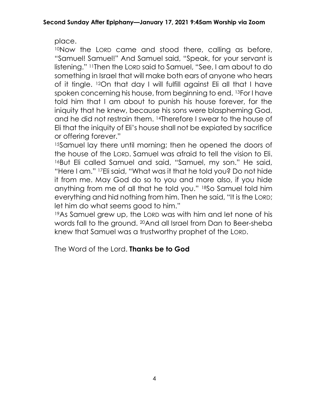place.

<sup>10</sup>Now the LORD came and stood there, calling as before, "Samuel! Samuel!" And Samuel said, "Speak, for your servant is listening." 11Then the LORD said to Samuel, "See, I am about to do something in Israel that will make both ears of anyone who hears of it tingle. 12On that day I will fulfill against Eli all that I have spoken concerning his house, from beginning to end. 13For I have told him that I am about to punish his house forever, for the iniquity that he knew, because his sons were blaspheming God, and he did not restrain them. 14Therefore I swear to the house of Eli that the iniquity of Eli's house shall not be expiated by sacrifice or offering forever."

<sup>15</sup>Samuel lay there until morning; then he opened the doors of the house of the LORD. Samuel was afraid to tell the vision to Eli. 16But Eli called Samuel and said, "Samuel, my son." He said, "Here I am." 17Eli said, "What was it that he told you? Do not hide it from me. May God do so to you and more also, if you hide anything from me of all that he told you." 18So Samuel told him everything and hid nothing from him. Then he said, "It is the LORD; let him do what seems good to him."

<sup>19</sup>As Samuel grew up, the LORD was with him and let none of his words fall to the ground. 20And all Israel from Dan to Beer-sheba knew that Samuel was a trustworthy prophet of the LORD.

The Word of the Lord. **Thanks be to God**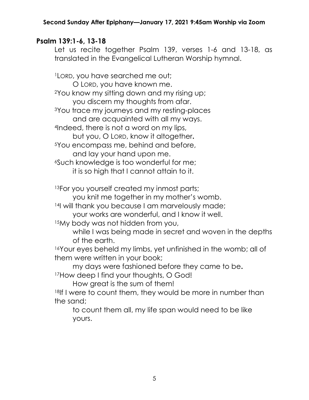# Psalm 139:1-6, 13-18

Let us recite together Psalm 139, verses 1-6 and 13-18, as translated in the Evangelical Lutheran Worship hymnal.

<sup>1</sup>LORD, you have searched me out; O LORD, you have known me. <sup>2</sup>You know my sitting down and my rising up; you discern my thoughts from afar. <sup>3</sup>You trace my journeys and my resting-places and are acquainted with all my ways. <sup>4</sup>Indeed, there is not a word on my lips, but you, O LORD, know it altogether. <sup>5</sup>You encompass me, behind and before, and lay your hand upon me. <sup>6</sup>Such knowledge is too wonderful for me; it is so high that I cannot attain to it. 13For you yourself created my inmost parts; you knit me together in my mother's womb. 14I will thank you because I am marvelously made; your works are wonderful, and I know it well. <sup>15</sup>My body was not hidden from you, while I was being made in secret and woven in the depths of the earth.

16Your eyes beheld my limbs, yet unfinished in the womb; all of them were written in your book;

my days were fashioned before they came to be.

17How deep I find your thoughts, O God!

How great is the sum of them!

18If I were to count them, they would be more in number than the sand;

to count them all, my life span would need to be like yours.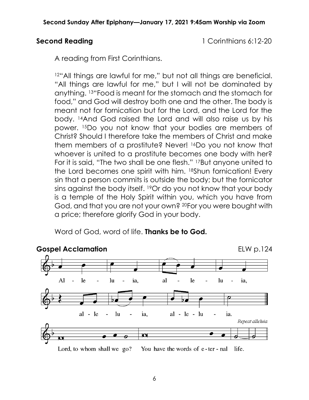Second Reading 1 Corinthians 6:12-20

A reading from First Corinthians.

12"All things are lawful for me," but not all things are beneficial. "All things are lawful for me," but I will not be dominated by anything. 13"Food is meant for the stomach and the stomach for food," and God will destroy both one and the other. The body is meant not for fornication but for the Lord, and the Lord for the body. 14And God raised the Lord and will also raise us by his power. 15Do you not know that your bodies are members of Christ? Should I therefore take the members of Christ and make them members of a prostitute? Never! 16Do you not know that whoever is united to a prostitute becomes one body with her? For it is said, "The two shall be one flesh." 17But anyone united to the Lord becomes one spirit with him. 18Shun fornication! Every sin that a person commits is outside the body; but the fornicator sins against the body itself. 19Or do you not know that your body is a temple of the Holy Spirit within you, which you have from God, and that you are not your own? 20For you were bought with a price; therefore glorify God in your body.

Word of God, word of life. **Thanks be to God.** 

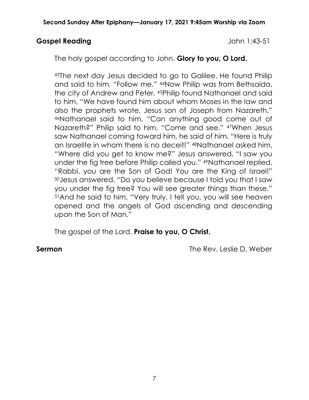## Gospel Reading and Table 1:43-51

The holy gospel according to John. Glory to you, O Lord.

<sup>43</sup>The next day Jesus decided to go to Galilee. He found Philip and said to him, "Follow me." 44Now Philip was from Bethsaida, the city of Andrew and Peter. 45Philip found Nathanael and said to him, "We have found him about whom Moses in the law and also the prophets wrote, Jesus son of Joseph from Nazareth." <sup>46</sup>Nathanael said to him, "Can anything good come out of Nazareth?" Philip said to him, "Come and see." 47When Jesus saw Nathanael coming toward him, he said of him, "Here is truly an Israelite in whom there is no deceit!" 48Nathanael asked him, "Where did you get to know me?" Jesus answered, "I saw you under the fig tree before Philip called you." 49Nathanael replied, "Rabbi, you are the Son of God! You are the King of Israel!" <sup>50</sup>Jesus answered, "Do you believe because I told you that I saw you under the fig tree? You will see greater things than these." <sup>51</sup>And he said to him, "Very truly, I tell you, you will see heaven opened and the angels of God ascending and descending upon the Son of Man."

The gospel of the Lord. Praise to you, O Christ.

Sermon The Rev. Leslie D. Weber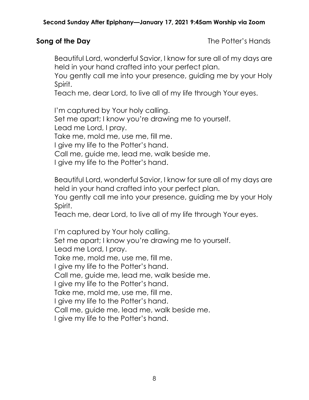Song of the Day **The Potter's Hands** 

Beautiful Lord, wonderful Savior, I know for sure all of my days are held in your hand crafted into your perfect plan.

You gently call me into your presence, guiding me by your Holy Spirit.

Teach me, dear Lord, to live all of my life through Your eyes.

I'm captured by Your holy calling. Set me apart; I know you're drawing me to yourself. Lead me Lord, I pray. Take me, mold me, use me, fill me. I give my life to the Potter's hand. Call me, guide me, lead me, walk beside me.

I give my life to the Potter's hand.

Beautiful Lord, wonderful Savior, I know for sure all of my days are held in your hand crafted into your perfect plan.

You gently call me into your presence, guiding me by your Holy Spirit.

Teach me, dear Lord, to live all of my life through Your eyes.

I'm captured by Your holy calling.

Set me apart; I know you're drawing me to yourself.

Lead me Lord, I pray.

Take me, mold me, use me, fill me.

I give my life to the Potter's hand.

Call me, guide me, lead me, walk beside me.

I give my life to the Potter's hand.

Take me, mold me, use me, fill me.

I give my life to the Potter's hand.

Call me, guide me, lead me, walk beside me.

I give my life to the Potter's hand.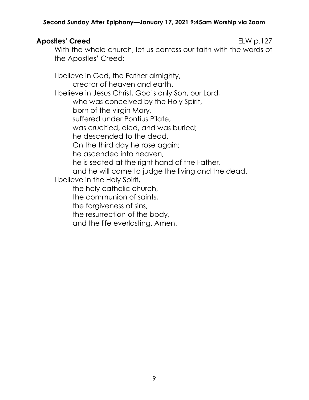## Apostles' Creed ELW p.127

With the whole church, let us confess our faith with the words of the Apostles' Creed:

I believe in God, the Father almighty, creator of heaven and earth. I believe in Jesus Christ, God's only Son, our Lord, who was conceived by the Holy Spirit, born of the virgin Mary, suffered under Pontius Pilate, was crucified, died, and was buried; he descended to the dead. On the third day he rose again; he ascended into heaven, he is seated at the right hand of the Father, and he will come to judge the living and the dead. I believe in the Holy Spirit, the holy catholic church, the communion of saints, the forgiveness of sins, the resurrection of the body, and the life everlasting. Amen.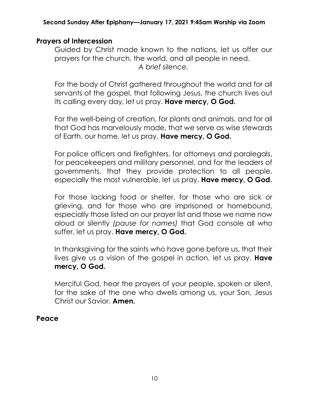# Prayers of Intercession

Guided by Christ made known to the nations, let us offer our prayers for the church, the world, and all people in need. A brief silence.

For the body of Christ gathered throughout the world and for all servants of the gospel, that following Jesus, the church lives out its calling every day, let us pray. Have mercy, O God.

For the well-being of creation, for plants and animals, and for all that God has marvelously made, that we serve as wise stewards of Earth, our home, let us pray. Have mercy, O God.

For police officers and firefighters, for attorneys and paralegals, for peacekeepers and military personnel, and for the leaders of governments, that they provide protection to all people, especially the most vulnerable, let us pray. Have mercy, O God.

For those lacking food or shelter, for those who are sick or grieving, and for those who are imprisoned or homebound, especially those listed on our prayer list and those we name now aloud or silently (pause for names) that God console all who suffer, let us pray. Have mercy, O God.

In thanksgiving for the saints who have gone before us, that their lives give us a vision of the gospel in action, let us pray. Have mercy, O God.

Merciful God, hear the prayers of your people, spoken or silent, for the sake of the one who dwells among us, your Son, Jesus Christ our Savior. Amen.

## Peace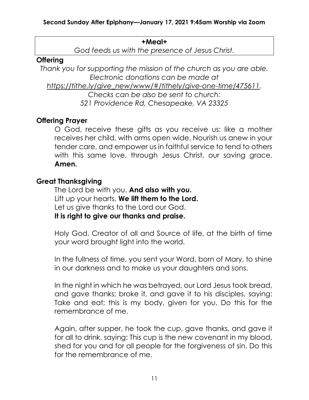#### +Meal+

God feeds us with the presence of Jesus Christ.

## **Offering**

Thank you for supporting the mission of the church as you are able. Electronic donations can be made at

https://tithe.ly/give\_new/www/#/tithely/give-one-time/475611.

Checks can be also be sent to church: 521 Providence Rd, Chesapeake, VA 23325

# Offering Prayer

O God, receive these gifts as you receive us: like a mother receives her child, with arms open wide. Nourish us anew in your tender care, and empower us in faithful service to tend to others with this same love, through Jesus Christ, our saving grace. Amen.

## Great Thanksgiving

The Lord be with you. And also with you. Lift up your hearts. We lift them to the Lord. Let us give thanks to the Lord our God. It is right to give our thanks and praise.

Holy God, Creator of all and Source of life, at the birth of time your word brought light into the world.

In the fullness of time, you sent your Word, born of Mary, to shine in our darkness and to make us your daughters and sons.

In the night in which he was betrayed, our Lord Jesus took bread, and gave thanks; broke it, and gave it to his disciples, saying: Take and eat; this is my body, given for you. Do this for the remembrance of me.

Again, after supper, he took the cup, gave thanks, and gave it for all to drink, saying: This cup is the new covenant in my blood, shed for you and for all people for the forgiveness of sin. Do this for the remembrance of me.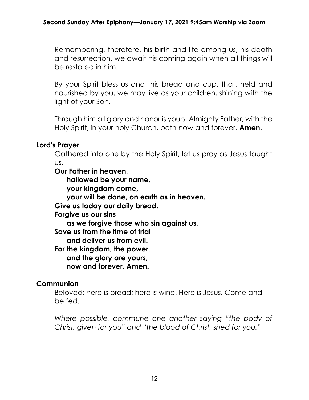Remembering, therefore, his birth and life among us, his death and resurrection, we await his coming again when all things will be restored in him.

By your Spirit bless us and this bread and cup, that, held and nourished by you, we may live as your children, shining with the light of your Son.

Through him all glory and honor is yours, Almighty Father, with the Holy Spirit, in your holy Church, both now and forever. **Amen.** 

# Lord's Prayer

Gathered into one by the Holy Spirit, let us pray as Jesus taught us.

Our Father in heaven,

hallowed be your name,

your kingdom come,

your will be done, on earth as in heaven.

Give us today our daily bread.

Forgive us our sins

as we forgive those who sin against us.

Save us from the time of trial

and deliver us from evil.

For the kingdom, the power,

and the glory are yours,

now and forever. Amen.

# **Communion**

Beloved: here is bread; here is wine. Here is Jesus. Come and be fed.

Where possible, commune one another saying "the body of Christ, given for you" and "the blood of Christ, shed for you."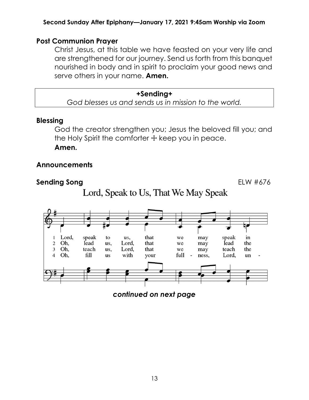## Post Communion Prayer

Christ Jesus, at this table we have feasted on your very life and are strengthened for our journey. Send us forth from this banquet nourished in body and in spirit to proclaim your good news and serve others in your name. **Amen.** 

+Sending+ God blesses us and sends us in mission to the world.

### Blessing

God the creator strengthen you; Jesus the beloved fill you; and the Holy Spirit the comforter  $+$  keep you in peace.

Amen.

# Announcements

### Sending Song **ELW #676**





continued on next page